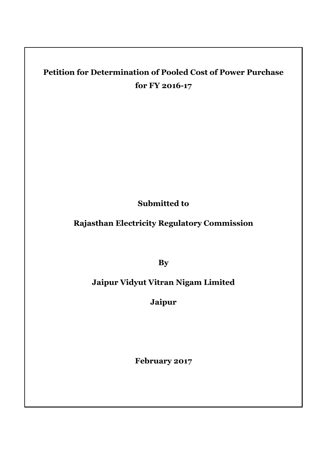## **Petition for Determination of Pooled Cost of Power Purchase for FY 2016-17**

**Submitted to**

**Rajasthan Electricity Regulatory Commission**

**By**

## **Jaipur Vidyut Vitran Nigam Limited**

**Jaipur**

**February 2017**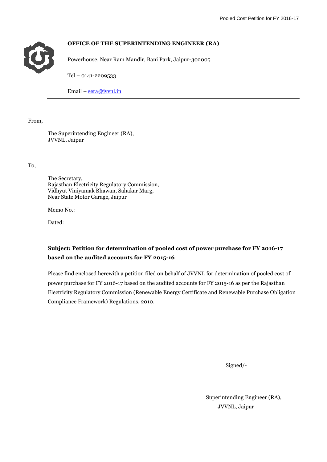

### **OFFICE OF THE SUPERINTENDING ENGINEER (RA)**

Powerhouse, Near Ram Mandir, Bani Park, Jaipur-302005

Tel – 0141-2209533

Email – [sera@jvvnl.in](mailto:sera@jvvnl.in)

From,

The Superintending Engineer (RA), JVVNL, Jaipur

To,

The Secretary, Rajasthan Electricity Regulatory Commission, Vidhyut Viniyamak Bhawan, Sahakar Marg, Near State Motor Garage, Jaipur

Memo No.:

Dated:

### **Subject: Petition for determination of pooled cost of power purchase for FY 2016-17 based on the audited accounts for FY 2015-16**

Please find enclosed herewith a petition filed on behalf of JVVNL for determination of pooled cost of power purchase for FY 2016-17 based on the audited accounts for FY 2015-16 as per the Rajasthan Electricity Regulatory Commission (Renewable Energy Certificate and Renewable Purchase Obligation Compliance Framework) Regulations, 2010.

Signed/-

Superintending Engineer (RA), JVVNL, Jaipur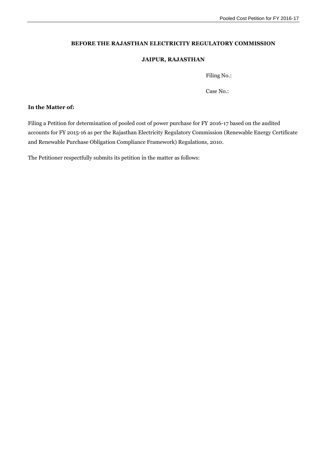#### **BEFORE THE RAJASTHAN ELECTRICITY REGULATORY COMMISSION**

#### **JAIPUR, RAJASTHAN**

Filing No.:

Case No.:

### **In the Matter of:**

Filing a Petition for determination of pooled cost of power purchase for FY 2016-17 based on the audited accounts for FY 2015-16 as per the Rajasthan Electricity Regulatory Commission (Renewable Energy Certificate and Renewable Purchase Obligation Compliance Framework) Regulations, 2010.

The Petitioner respectfully submits its petition in the matter as follows: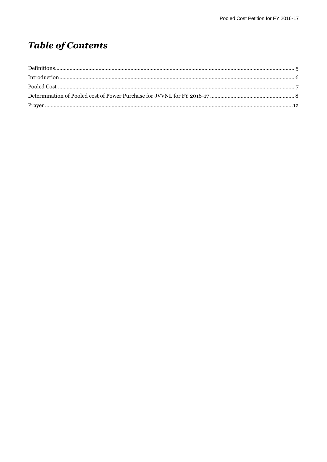# **Table of Contents**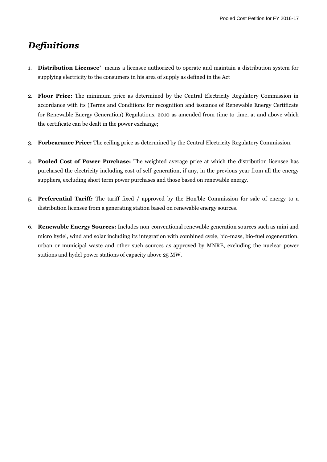## <span id="page-4-0"></span>*Definitions*

- 1. **Distribution Licensee'** means a licensee authorized to operate and maintain a distribution system for supplying electricity to the consumers in his area of supply as defined in the Act
- 2. **Floor Price:** The minimum price as determined by the Central Electricity Regulatory Commission in accordance with its (Terms and Conditions for recognition and issuance of Renewable Energy Certificate for Renewable Energy Generation) Regulations, 2010 as amended from time to time, at and above which the certificate can be dealt in the power exchange;
- 3. **Forbearance Price:** The ceiling price as determined by the Central Electricity Regulatory Commission.
- 4. **Pooled Cost of Power Purchase:** The weighted average price at which the distribution licensee has purchased the electricity including cost of self-generation, if any, in the previous year from all the energy suppliers, excluding short term power purchases and those based on renewable energy.
- 5. **Preferential Tariff:** The tariff fixed / approved by the Hon'ble Commission for sale of energy to a distribution licensee from a generating station based on renewable energy sources.
- 6. **Renewable Energy Sources:** Includes non-conventional renewable generation sources such as mini and micro hydel, wind and solar including its integration with combined cycle, bio-mass, bio-fuel cogeneration, urban or municipal waste and other such sources as approved by MNRE, excluding the nuclear power stations and hydel power stations of capacity above 25 MW.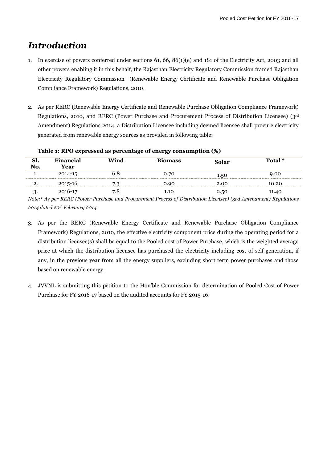## <span id="page-5-0"></span>*Introduction*

- 1. In exercise of powers conferred under sections 61, 66, 86(1)(e) and 181 of the Electricity Act, 2003 and all other powers enabling it in this behalf, the Rajasthan Electricity Regulatory Commission framed Rajasthan Electricity Regulatory Commission (Renewable Energy Certificate and Renewable Purchase Obligation Compliance Framework) Regulations, 2010.
- 2. As per RERC (Renewable Energy Certificate and Renewable Purchase Obligation Compliance Framework) Regulations, 2010, and RERC (Power Purchase and Procurement Process of Distribution Licensee) (3rd Amendment) Regulations 2014, a Distribution Licensee including deemed licensee shall procure electricity generated from renewable energy sources as provided in following table:

| Sl.<br>No. | <b>Financial</b><br>Year | Wind | <b>Biomass</b> | Solar | Total * |
|------------|--------------------------|------|----------------|-------|---------|
| ı.         | 2014-15                  | ხ.Ծ  | 0.70           | 1.50  | 9.00    |
| 2.         | 2015-16                  | 7.3  | 0.90           | 2.00  | 10.20   |
|            | 2016-17                  | 7.8  | 1.10           | 2.50  | 11.40   |

### **Table 1: RPO expressed as percentage of energy consumption (%)**

*Note:\* As per RERC (Power Purchase and Procurement Process of Distribution Licensee) (3rd Amendment) Regulations 2014 dated 20th February 2014*

- 3. As per the RERC (Renewable Energy Certificate and Renewable Purchase Obligation Compliance Framework) Regulations, 2010, the effective electricity component price during the operating period for a distribution licensee(s) shall be equal to the Pooled cost of Power Purchase, which is the weighted average price at which the distribution licensee has purchased the electricity including cost of self-generation, if any, in the previous year from all the energy suppliers, excluding short term power purchases and those based on renewable energy.
- 4. JVVNL is submitting this petition to the Hon'ble Commission for determination of Pooled Cost of Power Purchase for FY 2016-17 based on the audited accounts for FY 2015-16.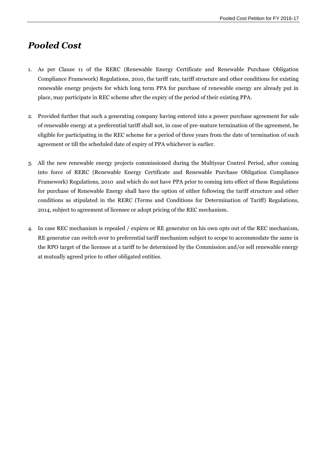## <span id="page-6-0"></span>*Pooled Cost*

- 1. As per Clause 11 of the RERC (Renewable Energy Certificate and Renewable Purchase Obligation Compliance Framework) Regulations, 2010, the tariff rate, tariff structure and other conditions for existing renewable energy projects for which long term PPA for purchase of renewable energy are already put in place, may participate in REC scheme after the expiry of the period of their existing PPA.
- 2. Provided further that such a generating company having entered into a power purchase agreement for sale of renewable energy at a preferential tariff shall not, in case of pre-mature termination of the agreement, be eligible for participating in the REC scheme for a period of three years from the date of termination of such agreement or till the scheduled date of expiry of PPA whichever is earlier.
- 3. All the new renewable energy projects commissioned during the Multiyear Control Period, after coming into force of RERC (Renewable Energy Certificate and Renewable Purchase Obligation Compliance Framework) Regulations, 2010 and which do not have PPA prior to coming into effect of these Regulations for purchase of Renewable Energy shall have the option of either following the tariff structure and other conditions as stipulated in the RERC (Terms and Conditions for Determination of Tariff) Regulations, 2014, subject to agreement of licensee or adopt pricing of the REC mechanism.
- 4. In case REC mechanism is repealed / expires or RE generator on his own opts out of the REC mechanism, RE generator can switch over to preferential tariff mechanism subject to scope to accommodate the same in the RPO target of the licensee at a tariff to be determined by the Commission and/or sell renewable energy at mutually agreed price to other obligated entities.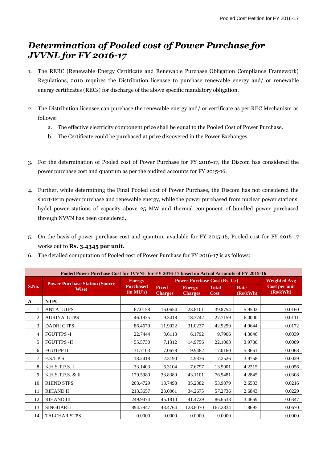### <span id="page-7-0"></span>*Determination of Pooled cost of Power Purchase for JVVNL for FY 2016-17*

- 1. The RERC (Renewable Energy Certificate and Renewable Purchase Obligation Compliance Framework) Regulations, 2010 requires the Distribution licensee to purchase renewable energy and/ or renewable energy certificates (RECs) for discharge of the above specific mandatory obligation.
- 2. The Distribution licensee can purchase the renewable energy and/ or certificate as per REC Mechanism as follows:
	- a. The effective electricity component price shall be equal to the Pooled Cost of Power Purchase.
	- b. The Certificate could be purchased at price discovered in the Power Exchanges.
- 3. For the determination of Pooled cost of Power Purchase for FY 2016-17, the Discom has considered the power purchase cost and quantum as per the audited accounts for FY 2015-16.
- 4. Further, while determining the Final Pooled cost of Power Purchase, the Discom has not considered the short-term power purchase and renewable energy, while the power purchased from nuclear power stations, hydel power stations of capacity above 25 MW and thermal component of bundled power purchased through NVVN has been considered.
- 5. On the basis of power purchase cost and quantum available for FY 2015-16, Pooled cost for FY 2016-17 works out to **Rs. 3.4345 per unit**.
- 6. The detailed computation of Pooled cost of Power Purchase for FY 2016-17 is as follows:

| Pooled Power Purchase Cost for JVVNL for FY 2016-17 based on Actual Accounts of FY 2015-16 |                                        |               |                                     |                                |                                 |                             |                     |                           |
|--------------------------------------------------------------------------------------------|----------------------------------------|---------------|-------------------------------------|--------------------------------|---------------------------------|-----------------------------|---------------------|---------------------------|
|                                                                                            | <b>Power Purchase Station (Source)</b> | <b>Energy</b> | <b>Power Purchase Cost (Rs. Cr)</b> |                                |                                 |                             | <b>Weighted Avg</b> |                           |
| S.No.                                                                                      |                                        | Wise)         | <b>Purchased</b><br>(in MU's)       | <b>Fixed</b><br><b>Charges</b> | <b>Energy</b><br><b>Charges</b> | <b>Total</b><br><b>Cost</b> | Rate<br>(Rs/kWh)    | Cost per unit<br>(Rs/kWh) |
| A                                                                                          | <b>NTPC</b>                            |               |                                     |                                |                                 |                             |                     |                           |
| 1                                                                                          | <b>ANTA GTPS</b>                       | 67.0158       | 16.0654                             | 23.8101                        | 39.8754                         | 5.9502                      | 0.0160              |                           |
| $\overline{c}$                                                                             | <b>AURIYA GTPS</b>                     | 46.1935       | 9.3418                              | 18.3742                        | 27.7159                         | 6.0000                      | 0.0111              |                           |
| 3                                                                                          | <b>DADRI GTPS</b>                      | 86.4679       | 11.9022                             | 31.0237                        | 42.9259                         | 4.9644                      | 0.0172              |                           |
| 4                                                                                          | <b>FGUTTPS -I</b>                      | 22.7444       | 3.6113                              | 6.1792                         | 9.7906                          | 4.3046                      | 0.0039              |                           |
| 5                                                                                          | <b>FGUTTPS -II</b>                     | 55.5730       | 7.1312                              | 14.9756                        | 22.1068                         | 3.9780                      | 0.0089              |                           |
| 6                                                                                          | <b>FGUTPP III</b>                      | 31.7103       | 7.0678                              | 9.9482                         | 17.0160                         | 5.3661                      | 0.0068              |                           |
| 7                                                                                          | F.S.T.P.S                              | 18.2418       | 2.3190                              | 4.9336                         | 7.2526                          | 3.9758                      | 0.0029              |                           |
| 8                                                                                          | K.H.S.T.P.S.I                          | 33.1403       | 6.3104                              | 7.6797                         | 13.9901                         | 4.2215                      | 0.0056              |                           |
| 9                                                                                          | K.H.S.T.P.S. & II                      | 179.5980      | 33.8380                             | 43.1101                        | 76.9481                         | 4.2845                      | 0.0308              |                           |
| 10                                                                                         | <b>RHIND STPS</b>                      | 203.4729      | 18.7498                             | 35.2382                        | 53.9879                         | 2.6533                      | 0.0216              |                           |
| 11                                                                                         | <b>RIHAND II</b>                       | 213.3657      | 23.0061                             | 34.2675                        | 57.2736                         | 2.6843                      | 0.0229              |                           |
| 12                                                                                         | <b>RIHAND III</b>                      | 249.9474      | 45.1810                             | 41.4729                        | 86.6538                         | 3.4669                      | 0.0347              |                           |
| 13                                                                                         | <b>SINGUARLI</b>                       | 894.7947      | 43.4764                             | 123.8070                       | 167.2834                        | 1.8695                      | 0.0670              |                           |
| 14                                                                                         | <b>TALCHAR STPS</b>                    | 0.0000        | 0.0000                              | 0.0000                         | 0.0000                          |                             | 0.0000              |                           |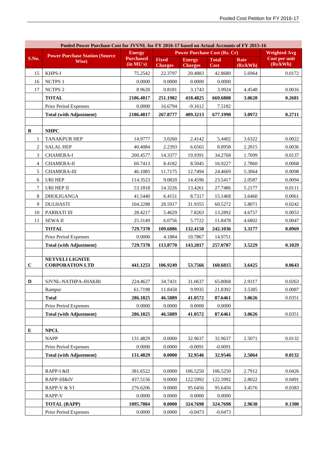| Pooled Power Purchase Cost for JVVNL for FY 2016-17 based on Actual Accounts of FY 2015-16 |                                                                                                |                               |                           |                           |                      |                    |                           |
|--------------------------------------------------------------------------------------------|------------------------------------------------------------------------------------------------|-------------------------------|---------------------------|---------------------------|----------------------|--------------------|---------------------------|
|                                                                                            | <b>Power Purchase Cost (Rs. Cr)</b><br><b>Energy</b><br><b>Power Purchase Station (Source)</b> |                               |                           |                           | <b>Weighted Avg</b>  |                    |                           |
| S.No.                                                                                      | Wise)                                                                                          | <b>Purchased</b><br>(in MU's) | <b>Fixed</b>              | <b>Energy</b>             | <b>Total</b><br>Cost | Rate               | Cost per unit<br>(Rs/kWh) |
| 15                                                                                         | KHPS-I                                                                                         | 75.2542                       | <b>Charges</b><br>22.3797 | <b>Charges</b><br>20.4883 | 42.8680              | (Rs/kWh)<br>5.6964 | 0.0172                    |
| 16                                                                                         | NCTPS 1                                                                                        | 0.0000                        | 0.0000                    | 0.0000                    | 0.0000               |                    |                           |
| 17                                                                                         | <b>NCTPS 2</b>                                                                                 | 8.9620                        | 0.8181                    | 3.1743                    | 3.9924               | 4.4548             | 0.0016                    |
|                                                                                            | <b>TOTAL</b>                                                                                   | 2186.4817                     | 251.1982                  | 418.4825                  | 669.6808             | 3.0628             | 0.2681                    |
|                                                                                            | Prior Period Expenses                                                                          | 0.0000                        | 16.6794                   | $-9.1612$                 | 7.5182               |                    |                           |
|                                                                                            | <b>Total (with Adjustment)</b>                                                                 | 2186.4817                     | 267.8777                  | 409.3213                  | 677.1990             | 3.0972             | 0.2711                    |
|                                                                                            |                                                                                                |                               |                           |                           |                      |                    |                           |
| B                                                                                          | <b>NHPC</b>                                                                                    |                               |                           |                           |                      |                    |                           |
| 1                                                                                          | <b>TANAKPUR HEP</b>                                                                            | 14.9777                       | 3.0260                    | 2.4142                    | 5.4402               | 3.6322             | 0.0022                    |
| 2                                                                                          | <b>SALAL HEP</b>                                                                               | 40.4084                       | 2.2393                    | 6.6565                    | 8.8958               | 2.2015             | 0.0036                    |
| 3                                                                                          | <b>CHAMERA-I</b>                                                                               | 200.4577                      | 14.3377                   | 19.9391                   | 34.2768              | 1.7099             | 0.0137                    |
| 4                                                                                          | <b>CHAMERA-II</b>                                                                              | 60.7413                       | 8.4182                    | 8.5045                    | 16.9227              | 2.7860             | 0.0068                    |
| 5                                                                                          | <b>CHAMERA-III</b>                                                                             | 46.1085                       | 11.7175                   | 12.7494                   | 24.4669              | 5.3064             | 0.0098                    |
| 6                                                                                          | <b>URI HEP</b>                                                                                 | 114.3523                      | 9.0820                    | 14.4596                   | 23.5417              | 2.0587             | 0.0094                    |
| 7                                                                                          | URI HEP II                                                                                     | 53.1818                       | 14.3226                   | 13.4261                   | 27.7486              | 5.2177             | 0.0111                    |
| 8                                                                                          | <b>DHOLIGANGA</b>                                                                              | 41.5440                       | 6.4151                    | 8.7317                    | 15.1468              | 3.6460             | 0.0061                    |
| 9                                                                                          | <b>DULHASTI</b>                                                                                | 104.2288                      | 28.5917                   | 31.9355                   | 60.5272              | 5.8071             | 0.0242                    |
| 10                                                                                         | PARBATI III                                                                                    | 28.4217                       | 5.4629                    | 7.8263                    | 13.2892              | 4.6757             | 0.0053                    |
| 11                                                                                         | <b>SEWAII</b>                                                                                  | 25.3149                       | 6.0756                    | 5.7722                    | 11.8478              | 4.6802             | 0.0047                    |
|                                                                                            | <b>TOTAL</b>                                                                                   | 729.7370                      | 109.6886                  | 132.4150                  | 242.1036             | 3.3177             | 0.0969                    |
|                                                                                            | Prior Period Expenses                                                                          | 0.0000                        | 4.1884                    | 10.7867                   | 14.9751              |                    |                           |
|                                                                                            | <b>Total (with Adjustment)</b>                                                                 | 729.7370                      | 113.8770                  | 143.2017                  | 257.0787             | 3.5229             | 0.1029                    |
|                                                                                            |                                                                                                |                               |                           |                           |                      |                    |                           |
| $\mathbf C$                                                                                | <b>NEYVELI LIGNITE</b><br><b>CORPORATION LTD</b>                                               | 441.1253                      | 106.9249                  | 53.7566                   | 160.6815             | 3.6425             | 0.0643                    |
|                                                                                            |                                                                                                |                               |                           |                           |                      |                    |                           |
| D                                                                                          | SJVNL-NATHPA-JHAKRI                                                                            | 224.4627                      | 34.7431                   | 31.0637                   | 65.8068              | 2.9317             | 0.0263                    |
|                                                                                            | Rampur                                                                                         | 61.7198                       | 11.8458                   | 9.9935                    | 21.8392              | 3.5385             | 0.0087                    |
|                                                                                            | <b>Total</b>                                                                                   | 286.1825                      | 46.5889                   | 41.0572                   | 87.6461              | 3.0626             | 0.0351                    |
|                                                                                            | Prior Period Expenses                                                                          | 0.0000                        | 0.0000                    | 0.0000                    | 0.0000               |                    |                           |
|                                                                                            | <b>Total (with Adjustment)</b>                                                                 | 286.1825                      | 46.5889                   | 41.0572                   | 87.6461              | 3.0626             | 0.0351                    |
|                                                                                            |                                                                                                |                               |                           |                           |                      |                    |                           |
| E                                                                                          | <b>NPCL</b>                                                                                    |                               |                           |                           |                      |                    |                           |
|                                                                                            | <b>NAPP</b>                                                                                    | 131.4829                      | 0.0000                    | 32.9637                   | 32.9637              | 2.5071             | 0.0132                    |
|                                                                                            | Prior Period Expenses                                                                          | 0.0000                        | 0.0000                    | $-0.0091$                 | $-0.0091$            |                    |                           |
|                                                                                            | <b>Total (with Adjustment)</b>                                                                 | 131.4829                      | 0.0000                    | 32.9546                   | 32.9546              | 2.5064             | 0.0132                    |
|                                                                                            |                                                                                                |                               |                           |                           |                      |                    |                           |
|                                                                                            | RAPP-I &II                                                                                     | 381.6522                      | 0.0000                    | 106.5250                  | 106.5250             | 2.7912             | 0.0426                    |
|                                                                                            | RAPP-III&IV                                                                                    | 437.5156                      | 0.0000                    | 122.5992                  | 122.5992             | 2.8022             | 0.0491                    |
|                                                                                            | RAPP-V & VI                                                                                    | 276.6206                      | 0.0000                    | 95.6456                   | 95.6456              | 3.4576             | 0.0383                    |
|                                                                                            | RAPP-V                                                                                         | 0.0000                        | 0.0000                    | 0.0000                    | 0.0000               |                    |                           |
|                                                                                            | <b>TOTAL (RAPP)</b>                                                                            | 1095.7884                     | 0.0000                    | 324.7698                  | 324.7698             | 2.9638             | 0.1300                    |
|                                                                                            | Prior Period Expenses                                                                          | 0.0000                        | 0.0000                    | $-0.0473$                 | $-0.0473$            |                    |                           |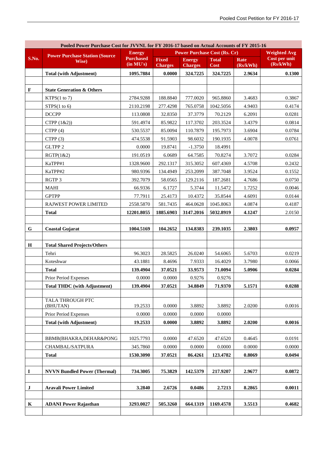| Pooled Power Purchase Cost for JVVNL for FY 2016-17 based on Actual Accounts of FY 2015-16 |                                        |                                                      |                                |                                 |                      |                     |                           |
|--------------------------------------------------------------------------------------------|----------------------------------------|------------------------------------------------------|--------------------------------|---------------------------------|----------------------|---------------------|---------------------------|
|                                                                                            | <b>Power Purchase Station (Source)</b> | <b>Power Purchase Cost (Rs. Cr)</b><br><b>Energy</b> |                                |                                 |                      | <b>Weighted Avg</b> |                           |
| S.No.                                                                                      | Wise)                                  | <b>Purchased</b><br>(in MU's)                        | <b>Fixed</b><br><b>Charges</b> | <b>Energy</b><br><b>Charges</b> | <b>Total</b><br>Cost | Rate<br>(Rs/kWh)    | Cost per unit<br>(Rs/kWh) |
|                                                                                            | <b>Total (with Adjustment)</b>         | 1095.7884                                            | 0.0000                         | 324.7225                        | 324.7225             | 2.9634              | 0.1300                    |
|                                                                                            |                                        |                                                      |                                |                                 |                      |                     |                           |
| F                                                                                          | <b>State Generation &amp; Others</b>   |                                                      |                                |                                 |                      |                     |                           |
|                                                                                            | KTPS(1 to 7)                           | 2784.9288                                            | 188.8840                       | 777.0020                        | 965.8860             | 3.4683              | 0.3867                    |
|                                                                                            | STPS(1 to 6)                           | 2110.2198                                            | 277.4298                       | 765.0758                        | 1042.5056            | 4.9403              | 0.4174                    |
|                                                                                            | <b>DCCPP</b>                           | 113.0808                                             | 32.8350                        | 37.3779                         | 70.2129              | 6.2091              | 0.0281                    |
|                                                                                            | CTPP (1&2))                            | 591.4974                                             | 85.9822                        | 117.3702                        | 203.3524             | 3.4379              | 0.0814                    |
|                                                                                            | CTPP(4)                                | 530.5537                                             | 85.0094                        | 110.7879                        | 195.7973             | 3.6904              | 0.0784                    |
|                                                                                            | CTPP(3)                                | 474.5538                                             | 91.5903                        | 98.6032                         | 190.1935             | 4.0078              | 0.0761                    |
|                                                                                            | GLTPP 2                                | 0.0000                                               | 19.8741                        | $-1.3750$                       | 18.4991              |                     |                           |
|                                                                                            | RGTP(1&2)                              | 191.0519                                             | 6.0689                         | 64.7585                         | 70.8274              | 3.7072              | 0.0284                    |
|                                                                                            | KaTPP#1                                | 1328.9600                                            | 292.1317                       | 315.3052                        | 607.4369             | 4.5708              | 0.2432                    |
|                                                                                            | KaTPP#2                                | 980.9396                                             | 134.4949                       | 253.2099                        | 387.7048             | 3.9524              | 0.1552                    |
|                                                                                            | RGTP 3                                 | 392.7079                                             | 58.0565                        | 129.2116                        | 187.2681             | 4.7686              | 0.0750                    |
|                                                                                            | MAHI                                   | 66.9336                                              | 6.1727                         | 5.3744                          | 11.5472              | 1.7252              | 0.0046                    |
|                                                                                            | <b>GPTPP</b>                           | 77.7911                                              | 25.4173                        | 10.4372                         | 35.8544              | 4.6091              | 0.0144                    |
|                                                                                            | RAJWEST POWER LIMITED                  | 2558.5870                                            | 581.7435                       | 464.0628                        | 1045.8063            | 4.0874              | 0.4187                    |
|                                                                                            | <b>Total</b>                           | 12201.8055                                           | 1885.6903                      | 3147.2016                       | 5032.8919            | 4.1247              | 2.0150                    |
|                                                                                            |                                        |                                                      |                                |                                 |                      |                     |                           |
| G                                                                                          | <b>Coastal Gujarat</b>                 | 1004.5169                                            | 104.2652                       | 134.8383                        | 239.1035             | 2.3803              | 0.0957                    |
|                                                                                            |                                        |                                                      |                                |                                 |                      |                     |                           |
| $\mathbf H$                                                                                | <b>Total Shared Projects/Others</b>    |                                                      |                                |                                 |                      |                     |                           |
|                                                                                            | Tehri                                  | 96.3023                                              | 28.5825                        | 26.0240                         | 54.6065              | 5.6703              | 0.0219                    |
|                                                                                            | Koteshwar                              | 43.1881                                              | 8.4696                         | 7.9333                          | 16.4029              | 3.7980              | 0.0066                    |
|                                                                                            | <b>Total</b>                           | 139.4904                                             | 37.0521                        | 33.9573                         | 71.0094              | 5.0906              | 0.0284                    |
|                                                                                            | Prior Period Expenses                  | 0.0000                                               | 0.0000                         | 0.9276                          | 0.9276               |                     |                           |
|                                                                                            | <b>Total THDC</b> (with Adjustment)    | 139.4904                                             | 37.0521                        | 34.8849                         | 71.9370              | 5.1571              | 0.0288                    |
|                                                                                            |                                        |                                                      |                                |                                 |                      |                     |                           |
|                                                                                            | TALA THROUGH PTC<br>(BHUTAN)           | 19.2533                                              | 0.0000                         | 3.8892                          | 3.8892               | 2.0200              | 0.0016                    |
|                                                                                            | Prior Period Expenses                  | 0.0000                                               | 0.0000                         | 0.0000                          | 0.0000               |                     |                           |
|                                                                                            | <b>Total (with Adjustment)</b>         | 19.2533                                              | 0.0000                         | 3.8892                          | 3.8892               | 2.0200              | 0.0016                    |
|                                                                                            |                                        |                                                      |                                |                                 |                      |                     |                           |
|                                                                                            | BBMB(BHAKRA,DEHAR&PONG                 | 1025.7793                                            | 0.0000                         | 47.6520                         | 47.6520              | 0.4645              | 0.0191                    |
|                                                                                            | CHAMBAL/SATPURA                        | 345.7860                                             | 0.0000                         | 0.0000                          | 0.0000               | 0.0000              | 0.0000                    |
|                                                                                            | <b>Total</b>                           | 1530.3090                                            | 37.0521                        | 86.4261                         | 123.4782             | 0.8069              | 0.0494                    |
|                                                                                            |                                        |                                                      |                                |                                 |                      |                     |                           |
| I                                                                                          | <b>NVVN Bundled Power (Thermal)</b>    | 734.3005                                             | 75.3829                        | 142.5379                        | 217.9207             | 2.9677              | 0.0872                    |
| $\bf J$                                                                                    | <b>Aravali Power Limited</b>           | 3.2840                                               | 2.6726                         | 0.0486                          | 2.7213               | 8.2865              | 0.0011                    |
|                                                                                            |                                        |                                                      |                                |                                 |                      |                     |                           |
| $\mathbf K$                                                                                | <b>ADANI Power Rajasthan</b>           | 3293.0027                                            | 505.3260                       | 664.1319                        | 1169.4578            | 3.5513              | 0.4682                    |
|                                                                                            |                                        |                                                      |                                |                                 |                      |                     |                           |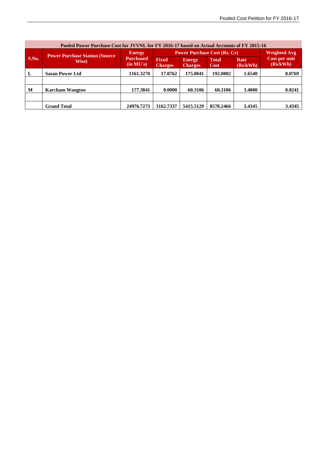| Pooled Power Purchase Cost for JVVNL for FY 2016-17 based on Actual Accounts of FY 2015-16 |                                        |                                                |                                     |                                 |                             |                         |                           |  |
|--------------------------------------------------------------------------------------------|----------------------------------------|------------------------------------------------|-------------------------------------|---------------------------------|-----------------------------|-------------------------|---------------------------|--|
|                                                                                            | <b>Power Purchase Station (Source)</b> | <b>Energy</b><br><b>Purchased</b><br>(in MU's) | <b>Power Purchase Cost (Rs. Cr)</b> |                                 |                             |                         | <b>Weighted Avg</b>       |  |
| S.No.                                                                                      | Wise)                                  |                                                | <b>Fixed</b><br><b>Charges</b>      | <b>Energy</b><br><b>Charges</b> | <b>Total</b><br><b>Cost</b> | <b>Rate</b><br>(Rs/kWh) | Cost per unit<br>(Rs/kWh) |  |
| L                                                                                          | <b>Sasan Power Ltd</b>                 | 1161.3270                                      | 17.0762                             | 175.0041                        | 192.0802                    | 1.6540                  | 0.0769                    |  |
|                                                                                            |                                        |                                                |                                     |                                 |                             |                         |                           |  |
| M                                                                                          | <b>Karcham Wangtoo</b>                 | 177.3841                                       | 0.0000                              | 60.3106                         | 60.3106                     | 3.4000                  | 0.0241                    |  |
|                                                                                            |                                        |                                                |                                     |                                 |                             |                         |                           |  |
|                                                                                            | <b>Grand Total</b>                     | 24976.7273                                     | 3162.7337                           | 5415.5129                       | 8578.2466                   | 3.4345                  | 3.4345                    |  |